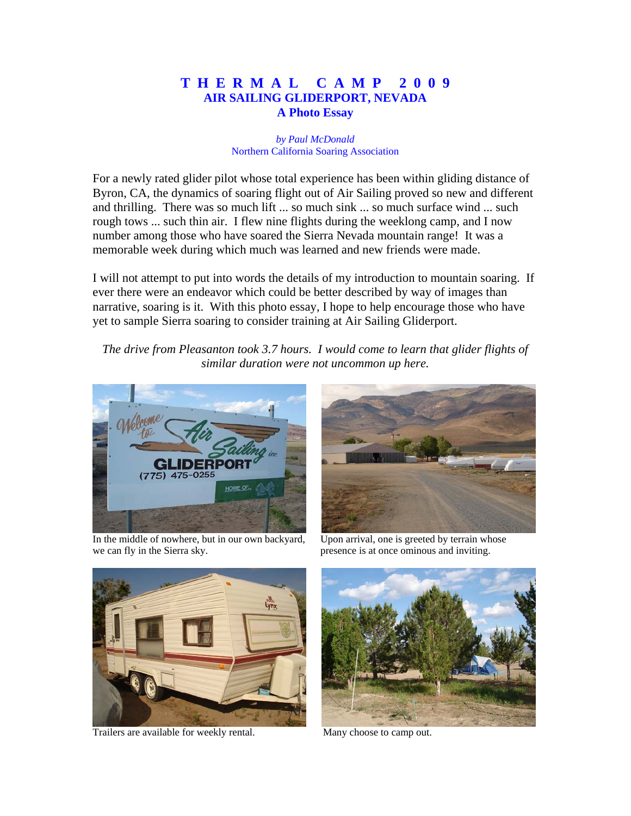## **T H E R M A L C A M P 2 0 0 9 AIR SAILING GLIDERPORT, NEVADA A Photo Essay**

## *by Paul McDonald* Northern California Soaring Association

For a newly rated glider pilot whose total experience has been within gliding distance of Byron, CA, the dynamics of soaring flight out of Air Sailing proved so new and different and thrilling. There was so much lift ... so much sink ... so much surface wind ... such rough tows ... such thin air. I flew nine flights during the weeklong camp, and I now number among those who have soared the Sierra Nevada mountain range! It was a memorable week during which much was learned and new friends were made.

I will not attempt to put into words the details of my introduction to mountain soaring. If ever there were an endeavor which could be better described by way of images than narrative, soaring is it. With this photo essay, I hope to help encourage those who have yet to sample Sierra soaring to consider training at Air Sailing Gliderport.

*The drive from Pleasanton took 3.7 hours. I would come to learn that glider flights of similar duration were not uncommon up here.*



 In the middle of nowhere, but in our own backyard, Upon arrival, one is greeted by terrain whose we can fly in the Sierra sky. presence is at once ominous and inviting.





Trailers are available for weekly rental. Many choose to camp out.

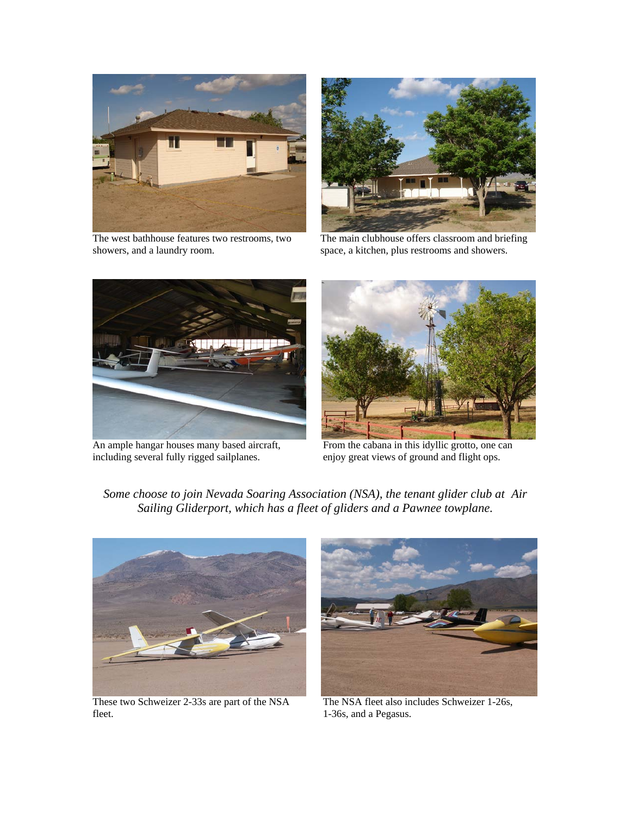

showers, and a laundry room. space, a kitchen, plus restrooms and showers.



The west bathhouse features two restrooms, two The main clubhouse offers classroom and briefing



An ample hangar houses many based aircraft, From the cabana in this idyllic grotto, one can including several fully rigged sailplanes. enjoy great views of ground and flight ops.



*Some choose to join Nevada Soaring Association (NSA), the tenant glider club at Air Sailing Gliderport, which has a fleet of gliders and a Pawnee towplane.*



These two Schweizer 2-33s are part of the NSA The NSA fleet also includes Schweizer 1-26s, fleet. 1-36s, and a Pegasus.

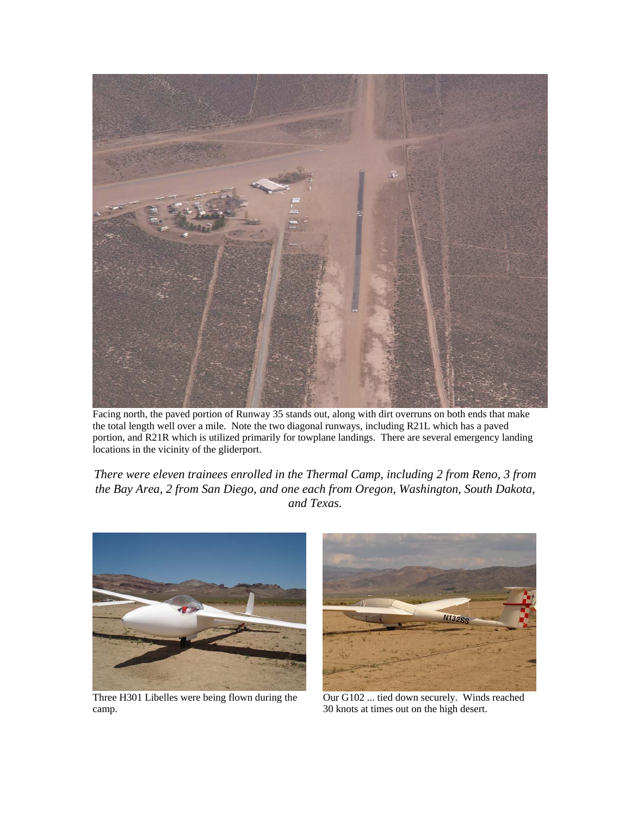

Facing north, the paved portion of Runway 35 stands out, along with dirt overruns on both ends that make the total length well over a mile. Note the two diagonal runways, including R21L which has a paved portion, and R21R which is utilized primarily for towplane landings. There are several emergency landing locations in the vicinity of the gliderport.

*There were eleven trainees enrolled in the Thermal Camp, including 2 from Reno, 3 from the Bay Area, 2 from San Diego, and one each from Oregon, Washington, South Dakota, and Texas.*



Three H301 Libelles were being flown during the Our G102 ... tied down securely. Winds reached camp. 30 knots at times out on the high desert.

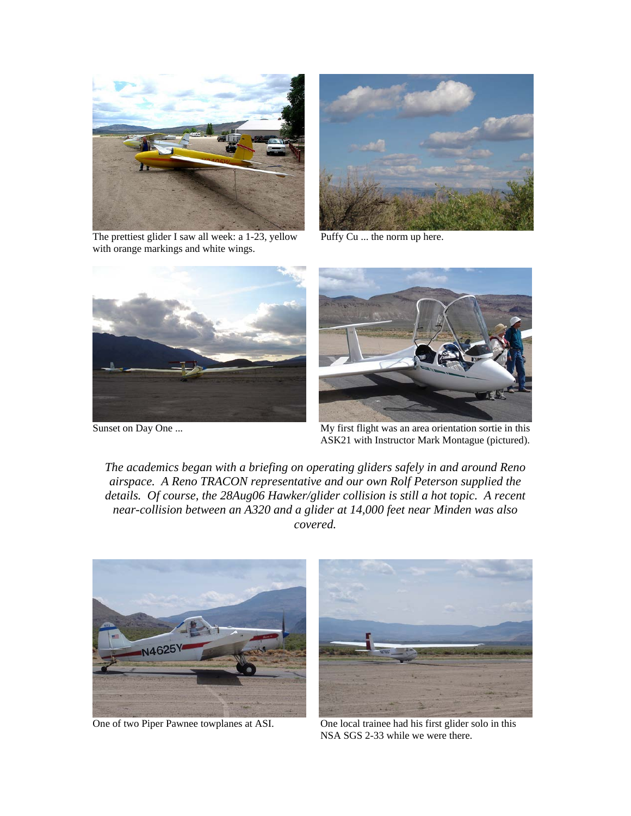

The prettiest glider I saw all week: a 1-23, yellow Puffy Cu ... the norm up here. with orange markings and white wings.







Sunset on Day One ... My first flight was an area orientation sortie in this ASK21 with Instructor Mark Montague (pictured).

*The academics began with a briefing on operating gliders safely in and around Reno airspace. A Reno TRACON representative and our own Rolf Peterson supplied the details. Of course, the 28Aug06 Hawker/glider collision is still a hot topic. A recent near-collision between an A320 and a glider at 14,000 feet near Minden was also covered.*





 One of two Piper Pawnee towplanes at ASI. One local trainee had his first glider solo in this NSA SGS 2-33 while we were there.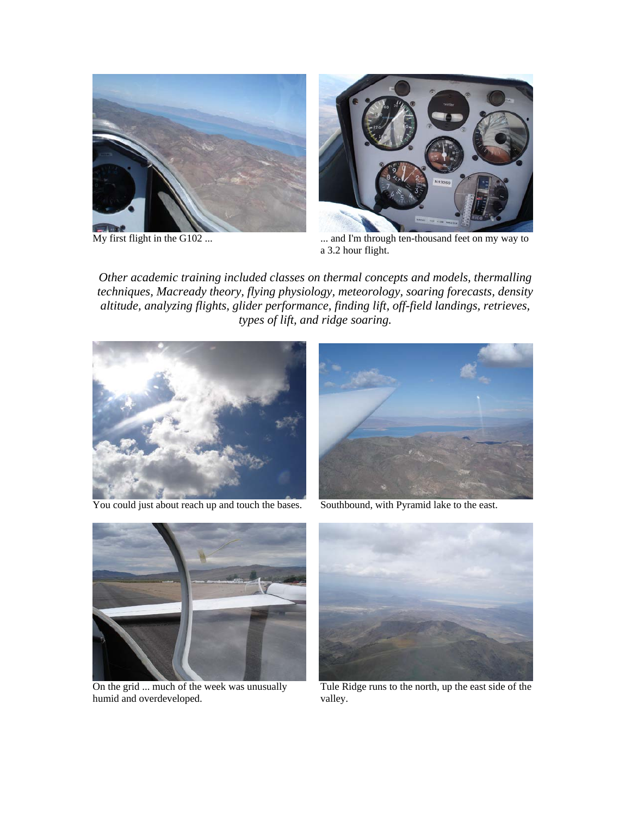



 $\overline{My}$  first flight in the G102 ...  $\ldots$  ... and I'm through ten-thousand feet on my way to a 3.2 hour flight.

*Other academic training included classes on thermal concepts and models, thermalling techniques, Macready theory, flying physiology, meteorology, soaring forecasts, density altitude, analyzing flights, glider performance, finding lift, off-field landings, retrieves, types of lift, and ridge soaring.*



You could just about reach up and touch the bases. Southbound, with Pyramid lake to the east.

![](_page_4_Picture_7.jpeg)

![](_page_4_Picture_9.jpeg)

humid and overdeveloped.  $valley$ .

![](_page_4_Picture_11.jpeg)

On the grid ... much of the week was unusually Tule Ridge runs to the north, up the east side of the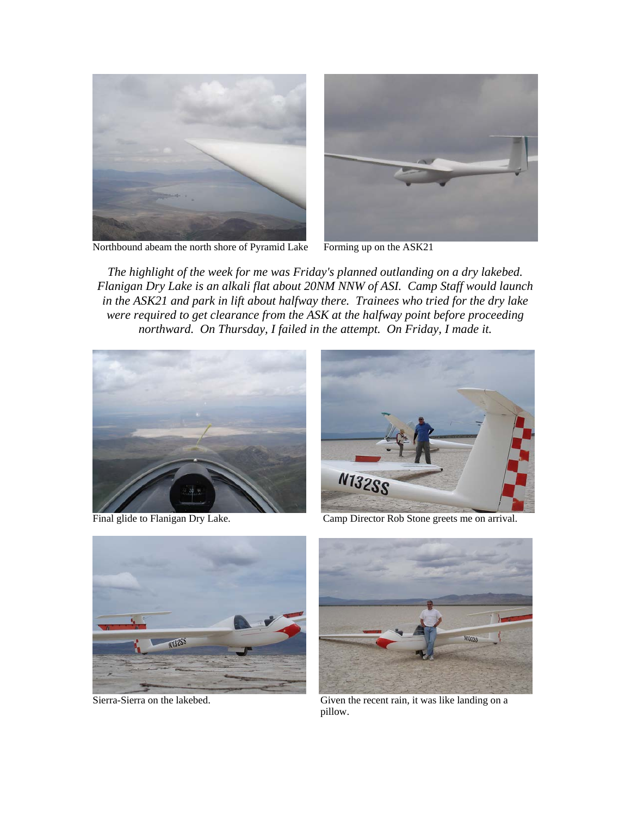![](_page_5_Picture_0.jpeg)

![](_page_5_Picture_1.jpeg)

![](_page_5_Picture_2.jpeg)

*The highlight of the week for me was Friday's planned outlanding on a dry lakebed. Flanigan Dry Lake is an alkali flat about 20NM NNW of ASI. Camp Staff would launch*  in the ASK21 and park in lift about halfway there. Trainees who tried for the dry lake *were required to get clearance from the ASK at the halfway point before proceeding northward. On Thursday, I failed in the attempt. On Friday, I made it.*

![](_page_5_Picture_5.jpeg)

![](_page_5_Picture_7.jpeg)

Final glide to Flanigan Dry Lake. Camp Director Rob Stone greets me on arrival.

![](_page_5_Picture_9.jpeg)

![](_page_5_Picture_11.jpeg)

 Sierra-Sierra on the lakebed. Given the recent rain, it was like landing on a pillow.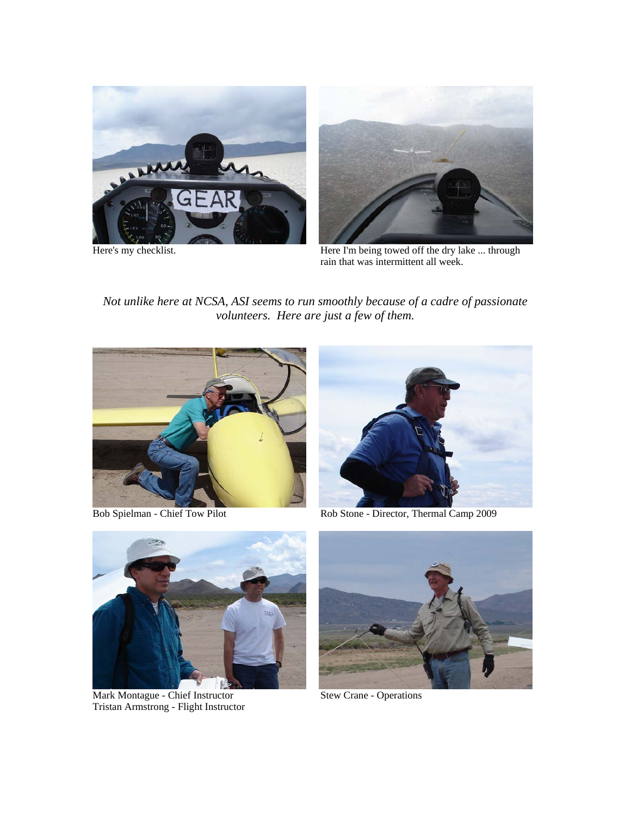![](_page_6_Picture_0.jpeg)

![](_page_6_Picture_2.jpeg)

Here's my checklist. The action of the I'm being towed off the dry lake ... through rain that was intermittent all week.

*Not unlike here at NCSA, ASI seems to run smoothly because of a cadre of passionate volunteers. Here are just a few of them.*

![](_page_6_Picture_5.jpeg)

![](_page_6_Picture_7.jpeg)

Bob Spielman - Chief Tow Pilot Rob Stone - Director, Thermal Camp 2009

![](_page_6_Picture_9.jpeg)

Mark Montague - Chief Instructor Stew Crane - Operations Tristan Armstrong - Flight Instructor

![](_page_6_Picture_11.jpeg)